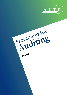

April 2022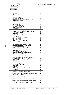

| <b>1.0 Introduction</b><br>1.1 Focus, aims and approach<br>1.2 Basic principles<br>1.3 Building an argument<br>1.4 Parties involved in the ALTE Audit System<br>1.5 The overall system | $\mathbf{2}$<br>2<br>3  |
|----------------------------------------------------------------------------------------------------------------------------------------------------------------------------------------|-------------------------|
|                                                                                                                                                                                        |                         |
|                                                                                                                                                                                        |                         |
|                                                                                                                                                                                        |                         |
|                                                                                                                                                                                        | 4                       |
|                                                                                                                                                                                        | 6                       |
|                                                                                                                                                                                        | 7                       |
| 2.0 Practical information                                                                                                                                                              | $\overline{\mathbf{9}}$ |
| 2.1 Language                                                                                                                                                                           | 9                       |
| 2.2 Audit format                                                                                                                                                                       | 9                       |
| 2.3 Costs and payment                                                                                                                                                                  | 9                       |
| 2.4 Outcomes of the audit                                                                                                                                                              | 10                      |
| 2.5 Audit validity period                                                                                                                                                              | 10                      |
| 2.6 ALTE Q-mark and Framework                                                                                                                                                          | 11                      |
| 3.0 ALTE audit training                                                                                                                                                                | 12                      |
| 3.1 The ALTE Audit System Training Programme                                                                                                                                           | 12                      |
| 3.2 ALTE auditor training                                                                                                                                                              | 13                      |
| <b>4.0 Auditors</b>                                                                                                                                                                    | 14                      |
|                                                                                                                                                                                        | 14                      |
| 4.1 Becoming an ALTE auditor                                                                                                                                                           |                         |
| 4.2 Assigning auditors to audits                                                                                                                                                       | 14                      |
| 4.3 Responsibilities of an auditor                                                                                                                                                     | 14                      |
| 4.4 Contract/agreement                                                                                                                                                                 | 15                      |
| 4.5 Confidentiality                                                                                                                                                                    | 15                      |
| 5.0 Applying for an ALTE audit                                                                                                                                                         | 16                      |
| 5.1 Who is eligible to apply                                                                                                                                                           | 16                      |
| 5.2 The audit application process                                                                                                                                                      | 16                      |
| 5.3 Flowchart of audit application process                                                                                                                                             | 18                      |
| 6.0 The audit process: Pre-visit phase                                                                                                                                                 | 19                      |
| 6.1 Pre-visit phase summary                                                                                                                                                            | 20                      |
| 7.0 The audit process: The audit visit                                                                                                                                                 | 21                      |
| 7.1 Preparations for the audit visit                                                                                                                                                   | 21                      |
| 7.2 The audit visit                                                                                                                                                                    | 21                      |
| 7.3 Conflicts or disagreements                                                                                                                                                         | 22                      |
| 8.0 The audit process: Post-visit phase                                                                                                                                                | 23                      |
| 8.1 Finalising the audit report                                                                                                                                                        | 23                      |
| 8.2 Post-visit phase summary                                                                                                                                                           | 25                      |
| 8.3 Audit outcomes                                                                                                                                                                     | 26                      |
| 8.4 Communication about the audit programme                                                                                                                                            | 27                      |
| 8.5 Follow-up: ALTE Audit Action Plan                                                                                                                                                  | 27                      |
| 8.6 Highlighting a successful audit                                                                                                                                                    | 28                      |
| 8.7 Feedback                                                                                                                                                                           | 28                      |
| 8.8 Appeals                                                                                                                                                                            | 28                      |
| 8.9 Consultancy role                                                                                                                                                                   | 28                      |
| 8.10 Post audit summary                                                                                                                                                                | 29                      |
| 9.0 Re-audit                                                                                                                                                                           | 30                      |
|                                                                                                                                                                                        |                         |
| 9.1 Timing                                                                                                                                                                             | 30                      |
| 9.2 Re-audit process and documentation                                                                                                                                                 | 30                      |
| <b>Appendices</b>                                                                                                                                                                      | 32                      |
| Appendix 1: Glossary of technical terms                                                                                                                                                | 32                      |
| Appendix 2: Minimum Standards for establishing quality<br>profiles in ALTE examinations                                                                                                | 33                      |
| Appendix 3: Building an argument                                                                                                                                                       | 35                      |
| Appendix 4: Parties involved in ALTE Audit System                                                                                                                                      | 36                      |
| Appendix 5: Timeline of ALTE audit validity lifecycle                                                                                                                                  | 39                      |
|                                                                                                                                                                                        | 41                      |

| Status/Version: Released Version 6.0 | Date: 08.04.2022 | $\vert$ Page: 2 of 42 |
|--------------------------------------|------------------|-----------------------|
|--------------------------------------|------------------|-----------------------|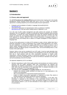

# **Section 1**

### **1.0 Introduction**

#### **1.1 Focus, aims and approach**

The **ALTE Procedures For Auditing (PFA)** document derives from ongoing work in the Quality Management System Working Group (QMS WG) and in ALTE as a whole, and draws on approaches to auditing adopted by two renowned quality-focused organisations:

- Evaluation and Accreditation of Quality in Language Services(EAQUALS): <http://eaquals.org/>
- International Organization for Standardization (ISO) as published in ISO9001: [http://www.iso.org.](http://www.iso.org/) See also further reading section in Appendix 6, p.41.

As in the case of other quality management and audit systems (for example, the ISO9001 standards), the ALTE approach is based on monitoring the required standards while promoting improvement. In practice this means identifying both where the required standard and good practice are being met, and providing guidance and support where this is not the case. The ALTE approach is, however, different in that it focuses exclusively on language testing as a professional activity and thereby aims to deliver an in-depth investigation of issues specific to language tests.

The aim of the audit process is to allow ALTE members to make a formal, ratified claim that a particular examination or suite of examinations has a quality profile appropriate to its context, use and candidature. In describing the quality profile there is no intention to impose a set of uniform quality standards across the ALTE Framework. Different examinations are used in different contexts, by different groups of examination users, and accommodating these is a key function of the audit system.

However, before a test can be considered for an ALTE audit, it must be made absolutely clear whether there are any other partners involved in the development of the test and exactly what their role is. Such partners could be: other examination developers or boards, public organisations, software developers, private or commercial companies. For any audit, only one organisation can assume responsibility for the audit and all Minimum Standards and they alone can be the beneficiary of the ALTE Q-Mark.

The approach adopted by ALTE is as follows:

- Members requesting an audit of their quality systems and procedures are invited to *build an argument* that the quality standards within their examination(s) are sufficient and appropriate for that/those examination(s). It is this *argument* which is the subject of the audit, rather than the examination or the organisation itself. For detailed information on the *argument*, see Section 1.3, p.4 and Appendix 3, p.35.
- The audit has both a **consultancy** and **quality control** role. The audit aims to:
	- establish that minimum quality standards are being met in a way appropriate to the context of an examination;
	- − offer recommendations for improvement towards good practice;
	- − enable an initially unsuccessful organisation to implement an Action Plan aimed at working towards and ultimately reaching the minimum standards.

An audit can include one examination or a *suite* of examinations. In the latter case, information is requested on the similarities of the examination formats and why the examinations are to be considered as a suite, and therefore suitable to be audited at the same time(see Section 5. p.16, for more information on how to apply for an audit of a suite of examinations).

| Status/Version: Released Version 6.0 | Date: 08.04.2022 | $\vert$ Page: 3 of 42 |
|--------------------------------------|------------------|-----------------------|
|--------------------------------------|------------------|-----------------------|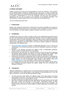

### **1.2 Basic principles**

Auditors carrying out an audit are the representatives of ALTE and, therefore, ALTE members are the ultimate arbiters of decisions resulting from the audit process. In order to facilitate this activity, these decisions are made through the Standing Committee. ALTE members are invited to nominate a representative to sit on this committee, and they may also nominate a replacement who can only be present at the meetings of the Standing Committee if the representative is unable to attend. Each ALTE member has one institutional vote.

The ALTE audit process aims to be:

#### **i. Professional:**

Auditors have significant backgrounds in theoretical and practical knowledge and expertise of test development systems and can be ALTE members, expert consultants or former employees of ALTE members. For further details on auditor recruitment, see Section 4, pp.14-15.

#### **ii. Confidential:**

Throughout the course of an audit, an auditor is party to the confidential material which lies at the core of all examinations and their development. Members of the ALTE Standing Committee are also given access to certain information in order to be able to reach a decision regarding the audit outcome. The purpose of confidentiality is therefore to protect all sensitive information and prevent it from appearing in the public domain. ALTE aims to reassure auditees by maintaining confidentiality in the following ways:

- The **ALTE-Auditor Agreement** contains a confidentiality agreement. This is to ensure the confidentiality of the received documents and that any information referring to the audit is respected.
- Members of the Standing Committee are obliged to sign a confidentiality agreement, records of which are stored with the ALTE Secretariat.
- Audit outcomes are only given as a general summary at ALTE Annual General Meetings and Member Update Meetings (see Section 8.3, p.26); individual audits, specific report contents and audit outcomes are never discussed outside the Standing Committee.
- Anything that can identify an organisation within an audit and audit report is confidential but not the audit itself, and anonymised extracts from audit reports maybe used for auditor and auditee training. The use of anonymised report extracts is also outlined in the **ALTE Auditee Agreement,** to which the auditee is asked to confirm their agreement.
- It is expected that from mid–2022 onwards a secure file transfer platform will be used to send confidential documents between the auditor, auditee and ALTE (Secretariat and Standing Committee).

#### **iii. Transparent:**

Although confidentiality is a significant part of an audit and specific information cannot be made public, transparency of the audit process is also important in demonstrating that it is fair and open to discussion. To this end, the following statements apply:

- The PFA document clearly defines the different stages of the audit process and where responsibility for each lies. This, along with all other associated documentation, is agreed and approved by the ALTE membership as a whole.
- Decisions at Standing Committee meetings regarding the final audit outcome are only made after close scrutiny and discussion of audit reports. Summarised records of these discussions are kept in the minutes of the meetings as taken by the Secretariat. The relevant extracts of minutes are made available to audited organisations and auditors when required.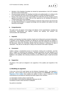

- Members of the Standing Committee are elected by representatives of all ALTE members and serve a term of three years.
- All communication between the Standing Committee and auditee/auditor is in writing via the ALTE Secretariat who must ensure that this happens in a timely and objective fashion.
- Review of the audit process is the responsibility of the QMS WG and any changes must be agreed by the group as a whole. They are then approved by the Standing and Board of Trustees before they can be adopted.
- It is the responsibility of the ALTE Secretariat to assist the review process and ensure that all related documentation is updated accordingly and that auditees and auditors are kept informed of all changes.

#### **iv. Comprehensive:**

The audit covers all aspects of the design and delivery of the examination(s), including test construction, administration and logistics, marking and grading, test analysis, and communication with stakeholders.

#### **v. Impartial:**

Auditors and Standing Committee members should not be influenced by personal relationships. If members of the Standing Committee are affected by committee discussion as auditors or auditees of the case under discussion, they are asked to leave the meeting for the duration of the discussion, unless the Committee decides that their presence is necessary for sake of clarification. They also do not take part in voting on the outcome of the audit in question.

#### **vi. Consistent:**

Auditors undergo a standardised process of recruitment, training and co-ordination, and their work is subject to monitoring and evaluation. Standard procedures are also adopted for all phases of the audit (pre-auditing documentation, the auditing event itself, and post-auditing feedback to the auditee), thus ensuring consistency across different types of audit and across time.

#### **vii. Supportive:**

All phases of the audit are designed to be supportive of the auditee and respectful of the auditor.

#### **1.3 Building an argument**

At the core of the ALTE Audit System are the Minimum Standards (MSs) - see Appendix 2, pp.32-33 - each of which must be met for the audit outcome to be *Resolved*. The **Validity Argument of the Auditee** form enables the auditee to build a case or argument for their examination(s) by providing the following information against each standard:

- 1) A description of what is done to meet the MS.
- 2) A description of why doing this adequately addresses the MS.
- 3) Evidence of what is done and that it is adequate.

Key points to remember:

| Status/Version: Released Version 6.0 | Date: 08.04.2022 | $\vert$ Page: 5 of 42 |
|--------------------------------------|------------------|-----------------------|
|--------------------------------------|------------------|-----------------------|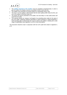

- The **Validity Argument of the Auditee** must be completed comprehensively in order to give the auditor as complete a picture as possible of what is done and why.
- The auditee must remember to provide evidence to substantiate what is said.
- The onus is on the auditee to demonstrate that the exam quality profile meets the MS, and not on the auditor to find that it does not.
- The clearer the picture presented to the auditor, the more likely it is that useful advice will result from the audit.
- This exercise should not, however, be thought of as something done solely for the sake of the ALTE QMS. Gathering sufficient information to inform decisions is clearly beneficial in itself and being able to demonstrate this may be useful to the auditee in dealing with a wide range of stakeholders (see Appendix 3, p.35, for more information).

This document should be read in conjunction with the ALTE audit forms listed in Appendix 6, p.41.

| Status/Version: Released Version 6.0 | Date: 08.04.2022 | $\vert$ Page: 6 of 42 |
|--------------------------------------|------------------|-----------------------|
|--------------------------------------|------------------|-----------------------|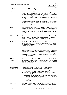

## **1.4 Parties involved in the ALTE Audit System**

| <b>Auditee:</b>                                                       | The organisation which has put forward its exam quality profile to be<br>audited, or representatives of this organisation. At least one person<br>must be nominated to be trained by ALTE to act as the organisation's<br>representative during the audit process. This person must attend the<br>Orientation to the ALTE Audit System and any other training required<br>by ALTE.<br>If the skills and expertise needed for a complete and comprehensive<br>audit do not reside in one person, the auditee may seek support from<br>colleagues with expertise in specific areas.                                                                                                      |                  |               |
|-----------------------------------------------------------------------|----------------------------------------------------------------------------------------------------------------------------------------------------------------------------------------------------------------------------------------------------------------------------------------------------------------------------------------------------------------------------------------------------------------------------------------------------------------------------------------------------------------------------------------------------------------------------------------------------------------------------------------------------------------------------------------|------------------|---------------|
| <b>Auditor:</b>                                                       | The person appointed by ALTE to undertake the audit. They will be an<br>experienced professional who has attended the Orientation to the<br>ALTE Audit System and auditor training, as required by ALTE, and is<br>expected to attend the ALTE Auditor Standardisation sessions<br>regularly.                                                                                                                                                                                                                                                                                                                                                                                          |                  |               |
| <b>ALTE Secretariat:</b>                                              | Responsible for administering the system and, as far as possible,<br>ensuring that the auditing needs of organisations are met and that<br>audits are adequately supported and procedures followed.                                                                                                                                                                                                                                                                                                                                                                                                                                                                                    |                  |               |
| <b>Standing Committee:</b>                                            | Elected by the Council of Full Members of ALTE, acting to ensure the<br>quality and fairness of the system in operation, e.g. that the results of<br>all audits are comparable and that the basic principles and approach<br>listed above are observed.                                                                                                                                                                                                                                                                                                                                                                                                                                |                  |               |
| <b>Board of Trustees</b>                                              | The highest body elected by the Council of Full Members of ALTE,<br>which represents the membership of the association. It makes day-to-<br>day decisions on behalf of the Council of Full Members and meets at<br>least twice a year on the occasion of the bi-annual ALTE meetings and<br>conference. The agreement of this body is required for any change in<br>the ALTE Constitution.                                                                                                                                                                                                                                                                                             |                  |               |
| <b>ALTE Secretary -</b><br>General:                                   | Appointed by the Council of Full Members of ALTE, he/she has,<br>among his/her duties, the day-to-day administration of the Association<br>and has to ensure that the financial contribution system is operated<br>properly and promptly.                                                                                                                                                                                                                                                                                                                                                                                                                                              |                  |               |
| <b>Quality Management</b><br><b>System Working</b><br>Group (QMS WG): | May be freely attended by ALTE members and affiliates and is<br>responsible for developing the ALTE QMS in order to deliver an<br>improved system. The responsibilities of the QMS WG include:<br>Monitoring the performance of the ALTE QMS, with the<br>administrative assistance of the ALTE Secretariat.<br>Reviewing relevant evidence presented by the ALTE Secretariat<br>or the Standing Committee.<br>Developing specific areas of the system, such as auditing<br>$\bullet$<br>procedures, auditee/auditor training and the collection of<br>information for system monitoring.<br>Informing and involving the wider ALTE membership in system<br>$\bullet$<br>developments. |                  |               |
| Ombudsman:                                                            | The General Assembly of the Council of Full Members of ALTE shall<br>appoint, by simple majority vote, an Ombudsman as an independent<br>arbiter in cases of disagreement between members, or between the                                                                                                                                                                                                                                                                                                                                                                                                                                                                              |                  |               |
| Status/Version: Released Version 6.0                                  |                                                                                                                                                                                                                                                                                                                                                                                                                                                                                                                                                                                                                                                                                        | Date: 08.04.2022 | Page: 7 of 42 |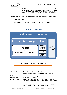

| ALTE Secretariat and a member (or members). The appointment shall       |
|-------------------------------------------------------------------------|
| be for a period of three years and shall be non-stipendiary. Candidates |
| for the position of Ombudsman shall be persons who have had an          |
| active involvement in the work of ALTE but who no longer represent      |
| the organisation or any of its members.                                 |

(See Appendix 4, pp.36-38for more information on parties involved in the ALTE Audit System.)

### **1.5 The overall system**

The following diagram represents the ALTE QMS in terms of the parties involved:



Ombudsman (independent of ALTE)

#### **Implementation of procedures:**

| <b>Auditor/Auditee:</b>            | Receive training prior to start of auditing.<br>$\bullet$<br>Communicate with each other directly once audit is underway.                                                                    |
|------------------------------------|----------------------------------------------------------------------------------------------------------------------------------------------------------------------------------------------|
| <b>Standing</b><br>Committee (SC): | Responsible for ensuring quality and fairness of all audits and<br>$\bullet$<br>deciding outcome of audit.                                                                                   |
| <b>ALTE Secretariat:</b>           | Supports auditees, auditors and the Standing Committee, and<br>٠<br>corresponds with the auditee and auditor on behalf of the Standing<br>Committee once the audit outcome has been decided. |
| <b>Board of Trustees:</b>          | The highest body elected by the Council of Full Members of ALTE<br>٠<br>which represents the membership of the association.                                                                  |
|                                    |                                                                                                                                                                                              |

| Status/Version: Released Version 6.0 | Date: 08.04.2022 | $\vert$ Page: 8 of 42 |
|--------------------------------------|------------------|-----------------------|
|--------------------------------------|------------------|-----------------------|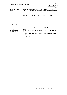

| <b>ALTE</b>    | Responsible for the day-to-day administration of the Association.                                                              |
|----------------|--------------------------------------------------------------------------------------------------------------------------------|
| Secretary-   • | Ensures that the financial contribution system is operated properly                                                            |
| General:       | and promptly.                                                                                                                  |
| Ombudsman:     | An independent arbiter in cases of disagreement between members,<br>or between the ALTE Secretariat and a member (or members). |

### **Development of procedures:**

| Quality<br><b>Management</b> | Leads development of system but is not involved with individual<br>audits.                              |
|------------------------------|---------------------------------------------------------------------------------------------------------|
| <b>System Working</b>        | Works closely with the Standing Committee and the ALTE<br>$\bullet$                                     |
| Group (QMS WG):              | Secretariat to:                                                                                         |
|                              | ensure that QMS system reflects current ideas and adapts to<br>change<br>suggest possible improvements. |

| Status/Version: Released Version 6.0 | Date: 08.04.2022 | $\vert$ Page: 9 of 42 |
|--------------------------------------|------------------|-----------------------|
|--------------------------------------|------------------|-----------------------|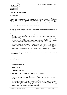

## **2.0 Practical information**

### **2.1 Language**

It is not always possible for audits to be carried out by native speakers of the language being tested. In such cases, an auditor with knowledge of the tested language at not less than B2 level for receptive skills and B1 for productive skills is desirable. It is also recommended that the auditor is familiar with technical assessment terminology in the language being tested. This is to:

- 1. Enable the preparation of pre-audit documentation.
- 2. Carry out the audit visit.

The following options should be considered if an auditor with the preferred language ability and required skills is not available:

a)

- Agreeing on a common language to be used during the audit.
- The auditor/auditing team may ask the auditee to translate certain documents into the agreed language.
- The auditee should supply a document (written in the agreed language) which summarises the contents of the pre-visit documentation and guides the auditor through its relevant sections; all auditing documents should be numbered and listed in the summary.

b)

The auditor may call on the support of a third person, who is a master of the language being tested, to help in translating the audit documentation. This must be agreed beforehand between auditor and auditee and it is advised that the auditee issues a confidentiality agreement to the translator too. Any costs that this would imply are borne by the auditee.

**N.B.** The final version of the audit report is written in English, regardless of whichever language is used for the audit visit.

## **2.2 Audit format**

An ALTE audit is in one of two formats:

- First audit (see Sections  $5. 6. 7. 8.$ )
- Re-audit (see Section 9.)

### **2.3 Costs and payment**

The costs of and payment for the Audit System are covered as follows:

- ALTE covers the costs of running auditor training courses, i.e. hiring a venue (where applicable), and the fees, transportation, accommodation and subsistence costs of the trainer(s).
- ALTE provides the auditee with the ALTE-Auditee Agreement, which stipulates the cost of the audit for the auditee. In addition, expenses incurred in the audit, such as the auditor's travel, accommodation and subsistence costs, must be paid by the auditee to ALTE.
- Members should however be aware that failure to pay audit costs is in breach of the ALTE Agreement and could lead to sanctions being imposed.

| Status/Version: Released Version 6.0 | Date: 08.04.2022 | Page: 10 of 42 |
|--------------------------------------|------------------|----------------|
|--------------------------------------|------------------|----------------|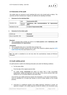

### **2.4 Outcomes of the audit**

The auditor gives an outcome to each individual MS and to the overall audit as follows. The outcomes are then reviewed and, if agreed, are ratified by the Standing Committee.

#### **i. Outcomes for the individual MSs**

|                   | Well                | Good practice (GP)                                            |  |
|-------------------|---------------------|---------------------------------------------------------------|--|
| Standard met:     | Minimum<br>required | with recommendations for improvement<br>Satisfactory<br>(RFI) |  |
| Standard not met: |                     | In need of improvement (INI)                                  |  |

#### **ii. Outcomes for the whole audit:**

| All MS met:              | <b>Resolved</b>   |
|--------------------------|-------------------|
| One or more $MS = INI$ : | <b>Unresolved</b> |

#### **Resolved**

• This is awarded when all MSs are found to be *Good practice* and/or *Satisfactory with recommendations for improvement*.

#### **Unresolved**

- This is awarded when one or more MSs have not been met.
- The Standing Committee requests that an Action Plan should be outlined using the **ALTE Audit Action Plan** form (see Section 8.5, p.27).

**N.B.** The audit is considered at an end only when the examination(s) meet(s) all Minimum **Standards** 

### **2.5 Audit validity period**

An audit outcome is valid for the following timescales and under the following conditions:

- a. For five years either:
- From the date of the original outcome letter

or

− For audits initially *Unresolved* but where an Action Plan is later successfully implemented, verified and approved, from the date of the second outcome letter (see Section 8.5, p.27 for further details on the Action Plan).

Once the five-year validity period has expired, the examination, or the suite of examinations, must be submitted for a re-audit (see Section 9, p.30 for further details on the re-audit process).

b. Until there is a significant change in the validity argument, whichever is sooner. All significant changes in the validity argument should be notified to the Secretariat using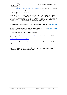

the **ALTE Audit** – **Change in the Validity Argument** form. The Standing Committee will decide, on a case by case basis, whether a re-audit is needed.

### **2.6 ALTE Q-mark and Framework**

The ALTE Q-mark is the quality indicator which member organisations can use to show that their examinations have passed the rigorous audit and meet all of ALTE's Minimum Standards (MS). Each member organisation is allocated a unique Q-mark reference and logo which it may use with reference to the successfully audited examination(s) in certain documentation and marketing collateral. This is for the five-year validity period of the audit.

For full details on how the Q-mark can be used, please refer to Appendix 6, p.41 **ALTE Q-mark Terms of Use***.*

Examinations which have been awarded the Q-mark are displayed on the **ALTE Framework** according to their level. The following information is displayed:

The Q-mark plus the month and year of the re-audit.

For more information on the [Q-mark](https://www.alte.org/resources/Documents/Guide%20to%20the%20Q%20Mark.pdf) and [Framework,](https://www.alte.org/resources/Documents/2018-05-15%20ALTE%20Framework%20v24.pdf) please visit the following page of the ALTE website:

#### <https://www.alte.org/Setting-Standards>

How to obtain the Q-mark post-audit and highlight a successful audit is covered in Section 8.6, p.28.

**N.B.** The Q-mark does not in any way signify that ALTE endorses or authorises the exam(s) displaying the Q-mark nor the organisation in question; it indicates only that the particular exam(s) has (have) successfully passed the audit.

| Status/Version: Released Version 6.0 | Date: 08.04.2022 | Page: 12 of 42 |
|--------------------------------------|------------------|----------------|
|--------------------------------------|------------------|----------------|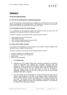

# **Section 3**

### **3.0 ALTE audit training**

### **3.1 The ALTE Audit System Training Programme**

The ALTE Audit System Training Programme is designed as an introduction to the ALTE Audit System and preparation for the auditing process. The programme is held prior to one of the biannual ALTE Meetings and Conferences and consists of two parts:

#### **3.1.1 Orientation to the ALTE Audit System:**

It is a requirement for all prospective auditors and auditees (at least one person from the organisation to be audited) to attend the Orientation session.

The session comprises a one-day face-to-face training session and covers:

- Basic training on the ALTE Audit System.
- Interpretation of the MSs.
- How to construct validity arguments using the MSs.
- How to provide evidence for the MSs.

#### **3.1.2 New ALTE Auditor training:**

It is mandatory for all individuals who wish to become ALTE auditors to attend in addition to the Orientation session; auditees may also attend.

The session comprises a one-day face-to-face training session and covers:

- Training on judgement of a validity argument.
- Preparation and conduct of an auditing visit.
- Report writing.
- Elements of standardisation.

#### • **3.1.3 Shadowing**

- •
- Following the ALTE Auditor training day, interested participants are asked to submit an application form detailing their availability, language skills and experience. "Novice" auditors will be asked to shadow an experienced auditor carrying out a re-audit as soon as a suitable audit comes up. During the reaudit, the shadow auditor will give their opinion on some for the Minimum Standards, deciding if they are GP, RFI or INI and if they are not GP what additional information is required.
- The main auditor will be responsible for writing the final audit report and be asked to give feedback on the work of the shadow auditor. Following this a decision will be made as to when the shadow auditor is ready to be given their own audit. This decision will be made following a conversation between the auditor, shadow auditor and Chair of the Standing Committee. This would then be referred to the Standing Committee.

| Status/Version: Released Version 6.0 | Date: 08.04.2022 | $\vert$ Page: 13 of 42 |
|--------------------------------------|------------------|------------------------|
|--------------------------------------|------------------|------------------------|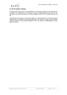

### **3.2 ALTE auditor training**

On-going training (also known as standardisation or co-ordination sessions) is a requirement for all auditors. It is mandatory for new auditors to attend a standardisation session prior to their first audit. Face-to-face sessions are currently organised every 12 or 18 months and last one day.

Standardisation takes place to ensure that auditors are making decisions in line with the agreed approach and are confident in interpreting information. The sessions usually include reviewing anonymised reports and comparing standards for the more relevant or challenging MSs across different contexts.

Status/Version: Released Version 6.0 Date: 08.04.2022 Page: 14 of 42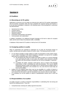

## **Section 4**

### **4.0 Auditors**

#### **4.1 Becoming an ALTE auditor**

Applications to become an ALTE auditor are welcome from staff of ALTE member organisations and non-member consultants alike who have completed the required training (see Section 3, p.12) and have knowledge or expertise in the following areas of test development, construction and administration:

- Operational test-writing
- Construct theory
- Marking and grading
- Statistical analysis
- Examination administration and logistics
- Communication with stakeholders

In addition, knowledge of an additional European language at B2 level or above for receptive skills, and B1 level or above for productive skills, is desirable.

A database of fully trained ALTE auditors is held by the ALTE Secretariat.

### **4.2 Assigning auditors to audits**

When an organisation has submitted an application for an audit, the Secretariat assigns an auditor, aiming to give the auditor at least six months' notice. The following should be noted:

- It is not always possible to assign auditors to audits of examinations in their mother tongue. In such cases, knowledge of the tested language is desirable to at least B2 for receptive skills and B1 for productive skills. If this is not feasible,
	- a) the Secretariat will contact the auditee and auditor to agree on a common language to be used during the audit .In such cases, the auditee is also expected to provide the auditor with documentation translated into the common language, if requested. OR
	- b) if available, the auditor proposes a third person, who is a master of the language being tested, to help in translating the audit documentation. This must be agreed beforehand between auditor and auditee and it is advised that the auditee issues a confidentiality agreement to the translator too. Any costs that this would imply are borne by the auditee.
- Auditors are not assigned where there may be any possibility of a conflict of interest or where the audited organisation is a direct competitor. Auditors are requested to declare any such interest from the outset or alert the Secretariat if any concerns arise at a later stage.
- It is mandatory for all new auditors to attend a standardisation session prior to their first audit.

### **4.3 Responsibilities of an auditor**

An auditor assumes a number of important responsibilities in undertaking their role during and beyond the auditing process. These are:

• Comprehensively reviewing the validity argument document.

| Status/Version: Released Version 6.0 | Date: 08.04.2022 | $\vert$ Page: 15 of 42 |
|--------------------------------------|------------------|------------------------|
|--------------------------------------|------------------|------------------------|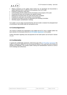

- Offering assistance to the auditee where he/she has not developed and documented a validity argument which is sufficient for the purposes of an ALTE audit.
- Preparing a preliminary audit report.
- Communicating with the auditee and the Secretariat on the progress of the audit.
- Conducting the audit visit according to the agreed schedule.
- Notifying the Secretariat when the audit visit has been completed.
- Finalising the audit report and sending it to the Secretariat.
- Carrying out any follow-up work as requested by the Standing Committee.
- Attending regular standardisation meetings.

If an auditor is at any stage concerned that they will not be able to maintain the anticipated level of commitment, they should notify the Secretariat at once.

#### **4.4 Contract/agreement**

The contract is between the organisation to be audited and ALTE. Once a suitable auditor has been selected, the Secretariat sends the **ALTE-Auditee Agreement** to the auditee.

Further information regarding costs and payments for the Audit System can be found in Section 2.3, p.9.

#### **4.5 Confidentiality**

In signing the confidentiality agreement, which forms part of the **ALTE-Auditor Agreement** the auditor is expected to adhere to it not only during the lifetime of the audit itself and all follow-up activities but indefinitely. This includes auditor training and standardisation sessions as well as ALTE meetings and conferences.

| Status/Version: Released Version 6.0 | Date: 08.04.2022 | $\vert$ Page: 16 of 42 |
|--------------------------------------|------------------|------------------------|
|--------------------------------------|------------------|------------------------|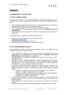

# **Section 5**

## **5.0 Applying for an ALTE audit**

### **5.1 Who is eligible to apply**

An existing ALTE member or a new institution applying for membership can apply for an ALTE audit. They should, however, only consider doing this if the answer to all the following questions is YES:

- Is the organisation confident that the examination or suite of examinations in mind meets an appropriate quality profile for the context of that examination?
- Is the organisation prepared to meet the demands of the auditing process?
- Has a representative from the organisation attended at least the **Orientation to the ALTE Audit System**?
- Has the organisation given a period of six months' notice to allow the pre-visit activity to be carried out?

The following steps are suggested to help the organisation decide:

- Completion of the **ALTE Quality Assurance Checklists** (see: [https://www.alte.org/Materials\)](https://www.alte.org/Materials)
- Reviewing all MSs (see Appendix 2, pp.33 34).
- Familiarisation with the Procedures for Auditing (this document).

### **5.2 The audit application process**

As audit eligibility is restricted as outlined above, application forms are only available from the Secretariat. The process to apply is as follows:

- Once a request for an application form has been received, the Secretariat checks that a representative from the organisation has attended at least the **Orientation to the ALTE Auditing System** before forwarding an application form.
- The auditee submits the application to the Secretariat, who checks that the form has been completed correctly.
- Applications for audits of a single examination or a suite of examinations are both reviewed and approved by the Standing Committee at the next scheduled meeting, so auditees should bear this in mind in the planning stage. Three Standing Committee meetings are scheduled per year, usually in February, April and November.
- In the case of a suite of examinations, information is requested on the similarities of the examination formats and why the examinations are to be considered as a suite, and therefore suitable to be audited at the same time. Similarities of the examination formats include:
	- Domain, e.g., general, work, specific type of work (medicine or law), academic;
	- Audience, e.g., general, young learners, pupils, students;
	- Purpose, e.g., general, school leaving exam, academic exam, migration/integration;
	- Test format, e.g. number of items/tasks, type of items/tasks;
	- Procedures, e.g., pretesting, data analysis;
- In reviewing the application, the Standing Committee considers a number of factors, for example whether the auditor could be unfairly burdened because examinations are insufficiently similar.

All considerations are made in relation to the fairness of the system and its efficient operation.

Once the application is approved, the Secretariat identifies a suitable auditor for the audit.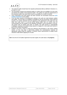

- The selected auditor should have the requisite professional skills as defined in Sections 2.1, p.9 and 4.1, p.14.
- The Secretariat contacts the proposed auditor to confirm they are available to do the work and advises the auditee of the proposed auditor. The auditee can reject the appointment of the proposed auditor only where there may be a possibility of a conflict of interest.
- Once confirmation from both parties has been received, the Secretariat sends the **ALTE Auditee Agreement** to the auditee.
- From this point onwards all arrangements relating to the audit are made between auditee and auditor. The first step is to establish a timetable for the pre-visit period, which shall not exceed a six months' timespan from the signature of the agreement to the audit visit. Any delay that could result in a pre-visit period lasting longer than six months must be communicated from the auditee to the Standing Committee, via the Secretariat. If the previsit period ends up lasting more than 12 months, the audit process is automatically invalidated, resulting in the auditee being required to reapply for a new audit (see Section 6, pp.19-20 for further information).
- Auditees may find it useful to review the reference documentation in the further reading section, as this may help in determining whether the examination(s) has/have an appropriate quality profile for auditing, or whether further improvements to quality issues should be made before applying for an audit.

**N.B**. Once the ALTE-Auditee Agreement has been signed, the audit status is *In progress.*

| Status/Version: Released Version 6.0 | Date: 08.04.2022 | Page: 18 of 42 |
|--------------------------------------|------------------|----------------|
|--------------------------------------|------------------|----------------|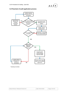

### **5.3 Flowchart of audit application process**



\* Standing Committee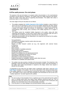

### **6.0The audit process: Pre-visit phase**

The purpose of the pre-visit phase is to prepare written documentation on the examination(s) according to all the Minimum Standards. The auditee writes the validity argument (see below), which the auditor reads along with all supporting documentation. The auditor then writes a preliminary report or a list of questions.

The main stages of the pre-visit phase are as follows:

- The auditee completes the **Validity Argument of the Auditee** template, a copy of which is sent by the ALTE Secretariat as soon as the ALTE-Auditee Agreement has been signed**.** This is the basis of the audit and focuses on the description of all the Minimum Standards. It guides the auditee through the process of constructing a validity argument for the examination(s) under scrutiny, and a summary of the validity argument of 2–3 pages is required.
- The auditee sends the completed Validity Argument to the auditor, along with other supporting documentation, at least three months before the scheduled audit visit and is responsible for providing all necessary information for the audit process.
- Supporting documentation will vary depending on the argument put forward by the auditee, but may include the following:
- Test specifications
- Handbooks for candidates, teachers and/or other test-users
- Item-writer guidelines
- Reports or other research carried out (e.g. into alignment with external frames of reference)
- Sample tests
- Mark schemes
- Rated samples of candidate production
- Results of item analysis
- Demographic data on candidature
- Details of accreditation (e.g. by national government)
- Information on application procedures for centres
- Administration instructions for centres
- Information on centre monitoring procedures
- Publicity information for candidates, teachers and/or other test-users
- Information for candidates with special needs.
- The auditee must also provide a checklist of the documents included. This should be in the language in which the audit will be conducted and provides a guide to the documentation. If the auditor feels further documentation is required at this stage, he/she must request it directly from the auditee.

In preparation for the audit visit, the auditor sends a preliminary audit report, using the **ALTE Audit Report** template, to the auditee. This can be a description of the strong and weak points of the validity argument or a list of questions covering the main points of interest for the audit visit. (The auditor is sent a copy of the report template by the Secretariat as soon as the ALTE – Auditee Agreement has been signed by the auditee).

#### **N.B.**

- Pre-visit scrutiny of documentation forms a significant part of the audit itself and the auditor uses it to identify areas which may require closer attention during the audit visit. This is because the audit visit cannot be an in-depth check of all aspects of the construction and delivery of an examination due to time and practicality constraints.
- From this point on, an open dialogue must proceed between auditor and auditee.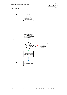

## **6.1 Pre-visit phase summary**



| Status/Version: Released Version 6.0 | Date: 08.04.2022 | Page: 21 of 42 |
|--------------------------------------|------------------|----------------|
|--------------------------------------|------------------|----------------|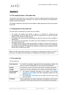

# **Section 7**

### **7.0 The audit process: The audit visit**

The purpose of the audit visit is for the auditor to review the validity argument presented by the auditee and clarify points where necessary. The success of the audit may be compromised if questions remain unanswered.

The auditor's preliminary audit report and the auditee's validity argument are the key documents for the visit.

### **7.1 Preparations for the audit visit**

The main points to preparing for an audit visit are as follows:

- The auditor and auditee liaise directly to agree on a schedule for sending pre-visit documentation and for the audit visit. The audit visit usually lasts one day but may take longer if a suite of exams is being covered.
- The auditee must ensure that all staff identified as required to take part will be available at agreed times.
- As a result of pre-visit preparation, the auditor must send a detailed list of the priorities to be discussed during the visit.
- The auditor may also ask for further documentation or evidence in advance of the audit visit, e.g. details of how candidates with special needs are catered for or how test constructors are recruited and trained. The auditee must respond in a timely manner and agree with the auditor what is needed and by when.

**N.B.** If the skills and expertise needed for a complete and comprehensive audit do not reside in one person, the auditee may seek support from colleagues with expertise in specific areas.

### **7.2 The audit visit**

The key points are:

| <b>Audit objective:</b>         | To confirm the auditee's argument that the examination(s) meet(s) the<br>MSs in a way that is appropriate for the context of the examination.                                                                                                                                  |
|---------------------------------|--------------------------------------------------------------------------------------------------------------------------------------------------------------------------------------------------------------------------------------------------------------------------------|
| Format:                         | An interview or series of interviews with staff of the audited organisation.                                                                                                                                                                                                   |
| Length:                         | Minimum of one day, depending on the number of examinations audited.                                                                                                                                                                                                           |
| Key documents<br>for the visit: | The Minimum Standards described by the auditee in the Validity<br>$\bullet$<br>Argument of the Auditee and other supporting material form the<br>basis of the visit;<br>The Preliminary Audit Report by the auditor forms the basis of the<br>$\bullet$<br>final audit report. |
| Feedback:                       | Where appropriate, the auditor should give oral feedback to either senior<br>personnel or staff closely involved with the examination(s) being audited.                                                                                                                        |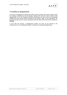

#### **7.3 Conflicts or disagreements**

In the case of disagreement between the auditor and the auditee, both parties should contact the Standing Committee via the Secretariat, outlining their concerns and the details of the disagreement in full. The Standing Committee will discuss the case at their next scheduled meeting and their decision will be reported to both parties, again via the Secretariat. The process may take up to six months, during which time the status of the audit will be classified as *Pending*.

If, even after this process, a disagreement remains, the case can be referred to the Ombudsman who is an independent arbiter in instances of unresolved disagreements.

| Status/Version: Released Version 6.0 | Date: 08.04.2022 | $\vert$ Page: 23 of 42 |
|--------------------------------------|------------------|------------------------|
|--------------------------------------|------------------|------------------------|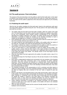

# **Section 8**

## **8.0 The audit process: Post-visit phase**

The purpose of the post-visit phase is for the auditor to write the final audit report. In this report an outcome must be given for each of the MSs and for the audit as a whole (see Section 8.3, p.26). The report and the auditor's judgements will be discussed and approved by the Standing Committee.

### **8.1 Finalising the audit report**

After the visit, the auditor completes the final audit report, based on the preliminary audit report and using further information gained during the visit. The key points to the report-writing stage post-audit are as follows:

- The auditor writes the first draft of the final audit in English, within four weeks of the audit visit. The Final Report must be written using the report template (as supplied to the auditor by the ALTE Secretariat), which includes sections corresponding to the 17MSs;when describing the auditee's argument in the report, the auditor should ensure that sufficient information is provided to enable the members of the Standing Committee to reach a reliable and fair judgement on whether or not the MSs have been met.
- Each individual MS is given one of three possible outcomes while the overall audit is given one of two possible outcomes (see Section 2.4, p.10).
- The report should be sent electronically by the auditor to the auditee within four weeks of the audit visit. The auditor must notify the Secretariat when this has been done.
- The auditee is allowed four weeks to correspond with the auditor to clarify any queries or issues raised, or to correct any factual inaccuracies or misunderstandings.
- The ALTE Audit Report is a joint responsibility of both the auditee and the auditor. The auditee needs to ensure that the final version of the report includes all the necessary information that had been provided to the auditor and, if applicable, point out those sections of the report that require more details. The ultimate version of the Final Report must be approved by the auditee.
- Once the Final Report has been approved by the auditee, the auditor sends a copy of it to the Secretariat.
- The Secretariat keeps the Final Report securely on file and also forwards it to the Standing Committee.
- Each report is independently analysed and commented on by two members of the Standing Committee who report their conclusions back to the Committee for further collective discussion. These two members are selected on a rotational basis. While analysing the audit report, the two Standing Committee members may contact the auditor and the auditee for further clarification, if necessary. Prior to the Standing Committee discussion, they share their conclusions with the auditor.
- The Standing Committee, as the representative of ALTE, scrutinises and either rejects or ratifies the report's findings at the next scheduled Standing Committee meeting. Decisions are taken by majority vote, and a minimum of five 'pro' votes is required to pass any decision.
- Based on the decision, the Secretariat draws up the audit outcome letter, which is then sent to the auditee. The outcome letter communicates the decision of the Standing Committee, either "resolved" or "unresolved" and in the latter case an action plan form for the auditee. For details the auditee is referred to the audit report if the Standing Committee has endorsed it fully. In cases where the Standing Committee has come to a decision that differs from that of the audit report, the outcome letter will also explain the difference.
- Unless sufficient information is provided to the Standing Committee, the final decision cannot be made and in such cases the auditee or the auditor will need to be contacted again for further clarification.
- Once the report has been reviewed and the outcome formally decided, the auditor receives feedback via the Secretariat.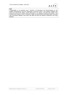

#### **N.B.**

Confidentiality is an important issue. Therefore, all information and documentation on the audited examination(s) and the organisation concerned which is not publicly available and which was used by the auditor must be destroyed or, on request, returned to the auditee. This includes hard copies as well as electronic copies of documentation submitted before the audit visit, documents relating to the audit visit itself and also the auditor's preliminary and Final Reports.

| Status/Version: Released Version 6.0 | Date: 08.04.2022 | Page: 25 of 42 |
|--------------------------------------|------------------|----------------|
|--------------------------------------|------------------|----------------|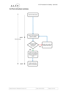

## **8.2 Post-visit phase summary**



| Status/Version: Released Version 6.0 | Date: 08.04.2022 | Page: 26 of 42 |
|--------------------------------------|------------------|----------------|
|--------------------------------------|------------------|----------------|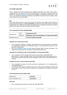

### **8.3 Audit outcomes**

Once a decision has been agreed by the Standing Committee, the result of the audit is considered final. The outcomes of each MS and the audit as a whole are communicated to the auditee via a formal **Outcome Letter** from the Secretariat, as described in Sections 8.3.1 and 8.3.2, p.26. Should the Standing Committee reach different outcomes than the auditor, these will be outlined in the outcome letter.

#### **N.B.**

The overall audit outcome is valid for five years from the date of the original outcome letter. In cases where the outcome is initially *Unresolved,* but where an Action Plan is later successfully implemented, then verified by the auditor and approved by the Standing Committee, the audit is valid from the date of the second outcome letter (see below).

#### **8.3.1 Outcomes for the individual MSs**

| Standard met:     | Well    | Good practice (GP)<br>Satisfactory with recommendations for improvement (RFI) |  |
|-------------------|---------|-------------------------------------------------------------------------------|--|
|                   | Minimum |                                                                               |  |
| Standard not met: |         | In need of improvement (INI)                                                  |  |

#### **Standard met: Good practice (GP):**

- This is awarded if evidence of efficient, well-defined and focused procedures is presented. The appropriate involvement of stakeholder groups in the examination processes is also taken into consideration;
- See **The Principles of Good Practice** (version October 2001) for further information. This represents the benchmark for the quality of standards described here.

#### **Standard met: Satisfactory with recommendations for improvement (RFI):**

This is awarded if a MS is met but where there are areas which could benefit from improvement. In cases where *RFI* is given, the outcome letter states which aspect(s) of the MS concerned could be improved and the Standing Committee may recommend actions to be taken.

#### **Standard not met: In need of improvement (INI):**

- This is awarded if no aspect of the MS concerned is implemented, or if it is implemented in an inappropriate way.
- The outcome letter states the MS(s) which are not met and the Standing Committee will request that an Action Plan should be outlined and completed by the auditee (see Section 8.5, p.27).

#### **8.3.2 Outcomes for the whole audit**

| All MSs met:             | <b>Resolved</b>   |
|--------------------------|-------------------|
| One or more $MS = INI$ : | <b>Unresolved</b> |

#### **Resolved:**

• This is awarded when all MSs are found to be either *GP* or *RFI*.

| Status/Version: Released Version 6.0 | Date: 08.04.2022 | $\vert$ Page: 27 of 42 |
|--------------------------------------|------------------|------------------------|
|--------------------------------------|------------------|------------------------|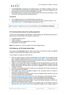

- The **ALTE Q-mark** is awarded to the audited exam(s). The auditee is entitled to make use of the Q-mark in its documentation as described in the Terms of Use (see Appendix 6, p.41 for the **ALTE Q-mark Terms of Use** and Section 8.6, p.28).
- Where *RFI* have been recorded, these should be taken into account by the auditee in order to strive for further improvement and good practice.

#### **Unresolved:**

- This is applied when one or more MSs has/have not been met;
- The Standing Committee requests that an Action Plan should be outlined using the **ALTE Audit Action Plan 1 – Outline** template (see Section 8.5, p.27).

**N.B.** The audit is complete only when the examination(s) meet(s) *all Minimum Standards.*

#### **8.4 Communication about the audit programme**

At the ALTE General Meeting and Members' Update Meeting, the Secretariat reports back in general terms on audit activity. This includes a summary of:

- Completed audit outcomes.
- Audits in progress.
- Audits that have been superseded by a re-audit.
- Examinations not yet audited.

**Note:** See Appendix 5, p.39 for a timeline of the audit validity lifecycle.

#### **8.5 Follow-up: ALTE Audit Action Plan**

In the case of an *Unresolved* outcome, when one or more of the MSs are found to be *INI***, t**he Standing Committee asks the auditee to write an Action Plan.

The key stages to creating an Action Plan are:

- Once the audit outcome has been communicated to the auditee, the Secretariat emails them a partially completed copy of the **ALTE Audit Action Plan 1 - Outline.** This forms the basis of the Action Plan and is the first of three documents which are completed at various stages to record the progress of the Action Plan.
- Section A of the Action Plan Outline is completed by the Secretariat before it is sent to the auditee and contains details of each of the MSs not met and judged to be *INI*. It may also include extracts from the audit report, the auditor's suggestions, and comments from the Standing Committee.
- In Section B, the auditee describes the actions to be undertaken for the MSs concerned and gives a timescale for completion.
- The auditee must send the completed template to the Secretariat within six months of receipt of the audit outcome letter.
- The actions mentioned in the outcome letter must be completed within a period of up to five years from the date of the outcome letter.
- An **Interim Report (ALTE Audit Action Plan 2)** on the progress of the action plan should be sent to the Secretariat after 18 months, in order to be approved by the Standing Committee at the next scheduled meeting. (The exact timescale of when this should be completed is detailed in the outcome letter). A copy of the relevant template is sent from the Secretariat to the auditee by the due date.
- After the Action Plan has been carried out, the auditee writes up the details in the **Final Report(ALTE Audit Action Plan 3)**.The Secretariat arranges for the original auditor, if

| Status/Version: Released Version 6.0 | Date: 08.04.2022 | Page: 28 of 42 |
|--------------------------------------|------------------|----------------|
|--------------------------------------|------------------|----------------|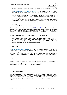

possible, to thoroughly review the finalised Action Plan (in the same way as the Audit Report).

- The **ALTE-Auditee Action Plan Agreement** is issued to ratify further arrangements between ALTE and the auditee. In the event of an Action Plan requiring more consultancy from the auditor, as separate Services Agreement will be written.
- The Final Report and the auditor's findings are submitted to the Standing Committee and reviewed at their next scheduled meeting. If the actions can be verified, the Action Plan is approved; if not, a re-audit is required.
- Once the plan has been approved and the audit outcome modified from *Unresolved* to *Resolved*, the Q-mark is awarded to the audited exam(s) with the 5-year validity period beginning from the date of the second outcome letter.

### **8.6 Highlighting a successful audit**

All completed audits are displayed on the [ALTE Framework page.](https://www.alte.org/resources/Documents/2018-05-15%20ALTE%20Framework%20v24.pdf) Once a successful audit outcome has been communicated to the auditee, the auditee receives an Outcome letter and an ALTE Quality certificate, the Secretariat updates the Framework document to display the organisation's Q-mark alongside the audited examination(s). (See Section 2.6, p.11 for further information).

The auditee can also highlight the success of an audit in the following ways:

• Use the Q-mark in documentation and marketing collateral relating to the audited exam(s). A copy of the Q-mark in various formats and colours can be obtained from the Secretariat, while details on how the Q-mark may be used are described in the ALTE Q-mark Terms of Use. The Secretariat may ask to check the proposed use.

#### **8.7 Feedback**

The **ALTE Procedures for Auditing** are a quality management system, and as such are subject to review. ALTE welcomes feedback regarding the audit system and both auditors and auditees will be given the opportunity to send feedback to the Standing Committee via the Secretariat, when an audit is resolved. This is in the form of a questionnaire which will be sent to auditors and auditees and will then be used by ALTE to inform future development of the audit system.

### **8.8 Appeals**

Disputed outcomes which cannot be resolved by the auditor and auditee must be outlined in writing to the Standing Committee and will be discussed at the next scheduled Standing Committee meeting. See Section 7.3, p.22 for further information.

#### **8.9 Consultancy role**

An important feature of the outcome of the audit visit is that the auditor functions as consultant. Where the outcome is **Resolved**, the auditor may feel that some aspects of the examination(s) could still benefit from improvement, even if they meet the MSs. These recommendations form part of the report, although the extent to which they are acted upon is at the discretion of the auditee.

| Status/Version: Released Version 6.0 | Date: 08.04.2022 | Page: 29 of 42 |
|--------------------------------------|------------------|----------------|
|                                      |                  |                |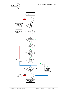



### **8.10 Post audit summary**



| Status/Version: Released Version 6.0 | Date: 08.04.2022 | $\vert$ Page: 30 of 42 |
|--------------------------------------|------------------|------------------------|
|--------------------------------------|------------------|------------------------|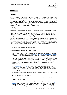

## **Section 9**

## **9.0 Re-audit**

Once the five-year validity period of an audit has expired, the examination, or the suite of examinations, must be submitted for a re-audit. The re-audit process is based on the assumption that the quality standards verified in the previous audit have been maintained throughout the period and that, in a perspective of an ongoing enhancement to the system, improvements in the procedures have been introduced. The re-audit therefore represents for the auditee an important occasion to verify the progress on the re-audited examination's processes related to the 17 MSs and to reflect on future improvements.

### **9.1 Timing**

Eighteen months prior to the audit expiry date, the auditee receives a letter from the Secretariat reminding them that their examination/s is/are due for a re-audit. A new application must be submitted for the approval of the Standing Committee (see section 5.2, pp 16-17). When necessary, an additional six months to complete the re-audit process after the expiry date is always granted and the Q-mark can be kept during this period.

In exceptional cases (ie. where there are relevant changes in the validity argument due to be introduced imminently), a request to postpone the re-audit can be submitted by the auditee to the Standing Committee prior to the audit expiry date. If approved by the Committee, a maximum extension of two years is granted by the end of which a re-audit should be completed. If no re-audit is completed within that period of time, the Q-mark will be withdrawn.

### **9.2 Re-audit process and documentation**

The re-audit process comprises the following phases:

- Once the application has been approved by the Standing Committee, the Secretariat informs the auditee and sends them the **Validity Argument of the Auditee – Re-audit** template and a copy of the prior Audit Report of the examination or suite of examinations in question. The prior Audit Report is taken as a point of reference by the auditee when developing the Validity Argument for the re-audit, by highlighting what procedures have been maintained throughout the five years without major changes and what improvements have been introduced and how these have positively impacted on the validity argument. Evidence of the maintaining and implementation of any procedure must be attached to the Validity Argument.
- The **ALTE-Auditee Agreement** is issued to ratify arrangements between ALTE and the auditee. A standard re-audit process is expected to last around five months from the signature of the Agreement to the issue of the Final Report and would involve the auditor for 3‒4 working days.
- The auditee contacts the auditor advise him/her on the estimated date for the re-audit documentation to be ready to be sent to him/her. This should be within two months from the ALTE-Auditee Agreement signature date.
- The Auditee sends the **Validity Argument of the Auditee – Re-audit**, with the annexed documentation, to the auditor.
- The auditor reviews the documentation and fills out a first draft of the **ALTE Audit Report – Re-audit** template, a copy of which has previously been sent to him/her by the Secretariat. In revising the Validity Argument, the auditor focuses on the evidence that is provided by the auditee to sustain their argument that the procedures have been maintained in line with

| Status/Version: Released Version 6.0 | Date: 08.04.2022 | $\vert$ Page: 31 of 42 |
|--------------------------------------|------------------|------------------------|
|--------------------------------------|------------------|------------------------|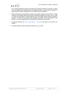

the 17 MSs throughout the years and he/she pays particular attention to the MSs on which a previous *RFI* has been advised by the Standing Committee, to verify whether measures of improvement have been adopted and, if so, whether they are adequate.

- While reviewing the documentation, auditor and auditee maintain communication. If major changes in the validity argument have been introduced throughout the years, such to make a re-audit visit necessary to verify evidence in loco, the auditor agrees with the auditee to arrange a re-audit visit and informs the Standing Committee, via the Secretariat, of the decision. In case of disagreement, the Standing Committee is the final arbiter.
- The auditor finalises the **ALTE Audit Report – Re-audit** and sends a first draft to the auditee.
- Procedures follow as per first audit (see Section 8.1, pp. 23-24)

| Status/Version: Released Version 6.0 | Date: 08.04.2022 | Page: 32 of 42 |
|--------------------------------------|------------------|----------------|
|--------------------------------------|------------------|----------------|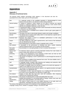

# **Appendices**

### **Appendix 1 Glossary of technical terms**

The glossary below explains terminology which appears in this document and also the associated forms which make up the ALTE Audit System.

| bias                      | If a particular section of the candidate population is (dis)advantaged by some<br>feature of the test which is not relevant to what is being measured.                                                             |
|---------------------------|--------------------------------------------------------------------------------------------------------------------------------------------------------------------------------------------------------------------|
| clerical marking          | A method of marking in which markers do not need to exercise any special<br>expertise or subjective judgement. They mark by following a mark scheme which<br>specifies all acceptable responses to each test item. |
| construct                 | A hypothesised ability or mental trait which cannot necessarily be directly observed<br>or measured, e.g. listening ability.                                                                                       |
| cut score                 | The minimum score a candidate has to achieve in order to get a given grade in a<br>test/examination.                                                                                                               |
| discrimination            | The power of an item to discriminate between weaker and stronger candidates.                                                                                                                                       |
| domain                    | The defined area of content and/or ability which is to be tested by a specific task or<br>component of an examination.                                                                                             |
| examiner/rater            | Someone who assigns a score to a candidate's performance in a test, using<br>subjective judgement to do so.                                                                                                        |
| impact                    | The effect created by a test, both in general terms, and in terms of the individuals<br>who are affected by test results.                                                                                          |
| item                      | Each testing point in a test which is given a separate mark or marks.                                                                                                                                              |
| item analysis             | A description of the performance of individual test items, usually employing<br>classical statistical indices such as facility and discrimination.                                                                 |
| item writer<br>guidelines | Documentation on a test giving details on how to construct the test items.                                                                                                                                         |
| optical mark<br>reader    | An electronic device used for scanning information directly from mark sheets or<br>answer sheets (also referred to as a scanner).                                                                                  |
| pretesting                | A stage in the development of test materials at which items are tried out with<br>representative samples from the target population.                                                                               |
| rating                    | The process of assigning a score to performance in a test through the exercise of<br>judgement.                                                                                                                    |
| reliability               | The consistency or stability of the measures from a test. The more reliable a test is,<br>the fewer random errors it contains.                                                                                     |
| skill                     | In language testing, receptive skills (listening and reading) and productive skills<br>(speaking and writing) are often distinguished.                                                                             |
| stability                 | An aspect of reliability where the estimate is based on the test/re-test approach. It<br>relates to how stable test scores are over time.                                                                          |
| standardisation           | The process of ensuring that assessors adhere to an agreed procedure and apply<br>rating scales in an appropriate way.                                                                                             |
| task                      | A combination of rubric, input and response, e.g. a reading text with several items,<br>all of which can be responded to by referring to a single rubric.                                                          |
| test analysis             | Analysis of tests after they have been used with candidates, often employing<br>statistical and computerised methods.                                                                                              |
| test construction         | The process of selecting items or tasks and putting them into a test.                                                                                                                                              |
| test<br>specifications    | Detailed documentation on a test giving details on design, content, level, task, item<br>types used, target population, use of the test, etc.                                                                      |
| validity                  | The extent to which scores on a test enable inferences to be made which are<br>appropriate, meaningful and useful, given the purpose of the test.                                                                  |

The entries of this glossary are based on the definitions of the *Multilingual Glossary of Language Testing Terms*, Studies in Language Testing 6, UCLES/CUP 1998.

| Status/Version: Released Version 6.0 | Date: 08.04.2022 | $\vert$ Page: 33 of 42 |
|--------------------------------------|------------------|------------------------|
|--------------------------------------|------------------|------------------------|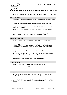

### **Appendix 2 Minimum Standards for establishing quality profiles in ALTE examinations**

In each case, please explain whether the examination meets these standards, and if so, in what way.

TEST CONSTRUCTION 1 You can describe the purpose and context of use of the examination, and the population for which the examination is appropriate. 2 The examination is based on a theoretical construct, e.g. on a model of communicative competence. 3 You provide criteria for selection and training of constructors, expert judgesand consultants in test development and construction. 4 Parallel examinations are comparable across different administrations in terms of content, stability, consistency and grade boundaries. 5 If you make a claim that the examination is linked to an external reference system (e.g. Common European Framework), then you can provide evidence of alignment to this system?

#### ADMINISTRATION AND LOGISTICS

- 6 All centres are selected to administer your examination according to clear, transparent, established procedures, and have access to regulations about how to do so.
- 7 Examination papers are delivered in excellent condition and by secure means of transport to the authorized examination centres, your examination administration system provides for secure and traceable handling of all examination documents, and confidentiality of all system procedures can be guaranteed.
- 8 The examination administration system has appropriate support systems (e.g. telephone helpline, web services, etc.).
- 9 You adequately protect the security and confidentiality of results and certificates, and data relating to them, in line with current data protection legislation, and candidates are informed of their rights to access this data.
- 10 The examination system provides support for candidates with special needs.

#### MARKING AND GRADING

- 11 Marking is sufficiently accurate and reliable for purpose and type of examination.
- You can document and explain how reliability is estimated for rating, and how data regarding achievement of raters of writing and speaking performances is collected and analysed.

#### TEST ANALYSIS

- 13 You collect and analyse data on an adequate and representative sample of candidates and can be confident that their achievement is a result of the skills measured in the examination and not influenced by factors such as L1, country of origin, gender, age or ethnic origin.
- 14 Item-level and task-level data (e.g. for computing the difficulty, discrimination, reliability and standard errors of measurement of the examination) is collected from an adequate sample of candidates and analysed.

| Status/Version: Released Version 6.0 | Date: 08.04.2022 | Page: 34 of 42 |
|--------------------------------------|------------------|----------------|
|--------------------------------------|------------------|----------------|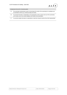

#### COMMUNICATION WITH STAKEHOLDERS

- 15 The examination administration system communicates the results of the examinations to candidates and to examination centres (e.g. schools) promptly and clearly.
- 16 You provide information to stakeholders on the appropriate context, purpose and use of the examination, on its content, and on the overall reliability of the results of the examination.
- 17 You provide suitable information to stakeholders to help them interpret results and use them appropriately.

| Status/Version: Released Version 6.0 | Date: 08.04.2022 | Page: 35 of 42 |
|--------------------------------------|------------------|----------------|
|--------------------------------------|------------------|----------------|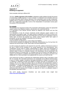

### **Appendix 3 Building an argument**

Some examples referring to different MS.

The form, *Validity Argument of the Auditee* is designed to guide auditees through the process of constructing a validity argument. To use it, however, it is important to be exhaustive and to try to include information about relevant elements of the examination (such as each component). Auditees have to construct an argument so that it is not only explained what they do but also WHY this is appropriate (especially in terms of the interpretation of examination scores) given the purpose of the examination.

#### **For example:**

The overview of an argument for MS 8 (The examination administration system has appropriate support systems (e.g. telephone helpline, web services, etc.) could look like this:

1) a description of the relevant services offered by telephone and internet and how they are publicised

2) a description of why the services mentioned provide adequate support needed in the administration and logistics stage. This might include an explanation of the level of service (e.g. the number of telephone queries that can be dealt with in an hour) and an explanation of why no further types of service are required (e.g. centres cannot request further hard copies of procedures, as they are available to download from the internet).

3) a list of evidence which shows:

i) that procedures are followed (e.g. a log of calls to the helpline)

ii) that services provided are adequate and sufficiently comprehensive (e.g. the log shows the response time and the topic of calls, where topics are those prepared for).

As well as paying due attention to the argument for each MS, auditees should also be aware of the way in which all MS contribute to an overall argument for the examination(s). Such consideration focuses itself on modern understandings of validity, where the interpretation of test scores is important, e.g. a particular test score may be taken to mean that a candidate has sufficient ability to study at a university However, this interpretation may be questioned if the theoretical construct is uncertain (MS 2), if parallel exams are not shown to be stable (MS 4), if support is not provided for candidates with special needs (MS 10), if marking is not shown to be reliable (MS 11), if item-level data is not analysed (MS 14), and so on for all of the MS.

Care should also be taken to understand the relationships between what is described in each MS. For example, MS 4 (Parallel examinations are comparable across different administrations in terms of content, stability, consistency and grade boundaries) is unlikely to be proven if MS 11 (Marking is sufficiently accurate and reliable for purpose and type of examination) is not. Likewise, MS 13 (You collect and analyse data on an adequate and representative sample of candidates and can be confident that their achievement is a result of the skills measured in the examination …) is difficult to substantiate if MS 1 (You can describe the purpose and context of use of the examination, and the population for which the examination is appropriate) is not sufficiently dealt with because MS 13 implies an argument for what is an adequate sample of the population described in MS 1.

The ALTE Quality Assurance Checklists can also provide more insight here [\(https://www.alte.org/Materials\)](https://www.alte.org/Materials).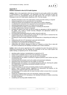

### **Appendix 4 Parties involved in the ALTE Audit System**

**Auditee:** refers to the organisation which has put forward its exam quality profile to be audited, or representatives of this organisation. The organisation will need to nominate at least one person to act as its representative during the audit process who will need to attend the Orientation to the ALTE Audit System required by ALTE. The role includes:

- attending Orientation to the ALTE Audit System Training and other training, as required
- making arrangements for the audit with the ALTE Secretariat
- making the purpose and arrangement of the audit known to his/her colleagues
- co-ordinating the construction of an argument for the examination(s) to be audited
- submitting appropriate documents on or before the time agreed
- corresponding with the auditor to assist him/her in reviewing the documents
- providing supplementary material as requested
- arranging the details of the audit visit with the auditor by attempting to fulfil the requests of the auditor. This is likely to include ensuring colleagues and appropriate evidence are available during the visit, etc.
- accompanying/contributing/assisting the auditor during the audit visit
- corresponding with the auditor during the month after the audit report is received from the auditor to ensure that it is accurate and reasonable
- circulating the report amongst colleagues and assisting them in interpreting and making use of it
- collaborating with the ALTE Secretariat in post-audit administration
- completing and returning auditee feedback forms
- responding to any requests from the Standing Committee
- collaborating with relevant colleagues to draw up, if required, an Action Plan to deal with any issues considered by the Standing Committee to be in need of attention.

**Auditor:** refers to the person appointed by ALTE to undertake the audit. This person will be an experienced professional who has attended the Orientation to the ALTE Audit System and auditor training, as required by ALTE. The role includes:

- attending auditor training or standardisation as required by ALTE
- making his/her availability known to the ALTE Secretariat, as requested
- making arrangements to conduct an audit with the ALTE Secretariat
- corresponding with the auditee on technical or logistical questions which he/she may have concerning the audit
- reviewing audit documentation sent by the auditee and assessing its adequacy
- requesting further documentation from the auditee, as necessary
- identifying people and evidence to be reviewed during the audit visit, informing the auditee and collaborating in constructing a provisional schedule for the visit
- conducting an audit visit
- considering findings for each MS and deciding whether the MS is adequately met
- writing a report containing findings, suggestions for improvement and opinions on the adequacy of the argument within one month of the visit
- corresponding with the auditee after the report has been written to ensure that it is accurate and reasonable
- sending the completed report to the ALTE Secretariat, copying in the auditee
- corresponding with the ALTE Secretariat or the Standing Committee on matters concerning the audit, as required
- completing and returning auditor feedback forms.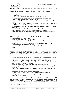

**ALTE Secretariat:** this body administers the system and, as far as possible, ensures that the auditing needs of organisations are met, audits are adequately supported and procedures are followed. The role of the ALTE Secretariat, in respect of the ALTE QMS, includes:

- monitoring the requirements for audits and training and ensuring that, as far as is possible and practicable, all needs are met
- matching auditors to auditees using criteria of suitability and availability
- monitoring the progress of audits with the assistance of the auditor and auditee
- ensuring procedures are followed, as far as possible
- storing relevant information on individual audits and conveying this to the Standing **Committee**
- collecting and storing relevant information on the audit system as a whole and providing it to the QMS WG and the Standing Committee, as required
- monitoring the completion of Action Plans by auditees and reporting this to the Standing **Committee**
- supporting the Standing Committee and QMS WG in their work
- keeping ALTE members informed of matters relating to the ALTE QMS
- conducting elections for the Standing Committee, as required, according to procedures.
- creating agreements with both auditors and auditees

**ALTE Secretary-General**: is appointed by the Council of Full Members of ALTE.

The duties of the Secretary-General are:

- the day to day administration of the Association
- to ensure that all meetings of the Association are properly held and minutes promptly circulated
- to ensure that the financial contribution system is operated properly and promptly
- to sign contracts on behalf of the Association
- to carry out such duties and the members and/or the Council may delegate to him from time to time.

**Standing Committee:** this body is elected by the Council of Full Members of ALTE and acts to ensure the quality and fairness of the system in operation; e.g., it must ensure that the results of all audits are comparable and that the basic principles and approach listed above are observed. Its duties include:

- reviewing each audit by considering the auditor's report and supporting material, if needed
- requesting further evidence and information where this is deemed necessary
- concluding final outcomes of the audit according to the classifications available
- identifying issues which need further action and communicating them clearly to the auditee with the assistance of the ALTE Secretariat
- directing an auditee to compile an Action Plan to address issues identified
- reviewing proposed actions plans to assess whether they are likely to adequately address the issues
- deciding how best to review Action Plans after they have been implemented and arranging for this to be done
- adjudicating in disputes between auditees and auditors
- presenting a summary of their work to ALTE members on appropriate occasions
- codifying the procedures by which it (Standing Committee) operates and make these known to ALTE Members, as appropriate.

**Board of Trustees:** this is the highest body elected by the Council of Full Members of ALTE which represents the membership of the association. The Board of Trustees makes day-to-day decisions on behalf of the Council of Full Members and the agreement of this body is required for any change in the ALTE Constitution. The Board of Trustees meets at least twice a year on the occasion of the biannual ALTE meetings and conference. Meetings of the Board of Trustees cover at least the following areas: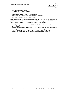

- approval of annual accounts
- approval of subscription levels
- amendments to categories of members
- proposed amendments to the Constitution
- review and adoption of proposed project plan for ALTE
- agreement on the location of future meetings of the Association
- approval of the annual report for public release.

**Quality Management System Working Group (QMS WG):** this body may be freely attended by ALTE members and affiliates and has the responsibility to develop the ALTE QMS in order to deliver an improved system. The responsibilities of the QMS WG include:

- monitoring the performance of the ALTE QMS, with the administrative assistance of the ALTE Secretariat
- reviewing relevant evidence presented by the ALTE Secretariat or the Standing Committee
- developing specific areas of the system, such as the auditing procedure, training for auditees and auditors and the collection of information for monitoring the system
- informing and involving the wider ALTE membership in system developments.

| Status/Version: Released Version 6.0 | Date: 08.04.2022 | $\vert$ Page: 39 of 42 |
|--------------------------------------|------------------|------------------------|
|--------------------------------------|------------------|------------------------|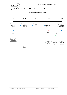

### **Appendix 5: Timeline of the ALTE audit validity lifecycle**



**Timeline of ALTE audit validity lifecycle**

\*sent by ALTE Secretariat

| Status/Version: Released Version 6.0 | Date: 08.04.2022 | Page: 40 of 42 |
|--------------------------------------|------------------|----------------|
|                                      |                  |                |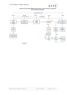

#### **Timeline of ALTE audit validity lifecycle when a 2 year-extension is approved by the Standing Committee**



**Secretariat** 

| Status/Version: Released Version 6.0 | Date: 08.04.2022 | Page: 41 of 42 |
|--------------------------------------|------------------|----------------|
|--------------------------------------|------------------|----------------|